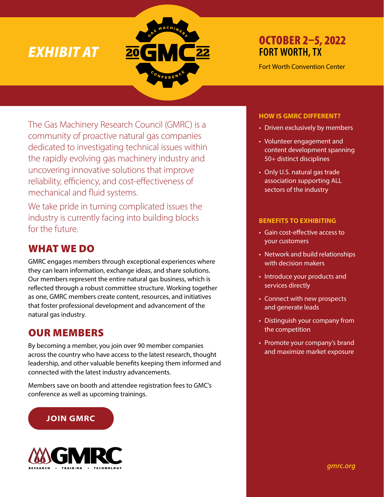# *EXHIBIT AT*



## OCTOBER 2–5, 2022 **FORT WORTH, TX**

Fort Worth Convention Center

The Gas Machinery Research Council (GMRC) is a community of proactive natural gas companies dedicated to investigating technical issues within the rapidly evolving gas machinery industry and uncovering innovative solutions that improve reliability, efficiency, and cost-effectiveness of mechanical and fluid systems.

We take pride in turning complicated issues the industry is currently facing into building blocks for the future.

## WHAT WE DO

GMRC engages members through exceptional experiences where they can learn information, exchange ideas, and share solutions. Our members represent the entire natural gas business, which is reflected through a robust committee structure. Working together as one, GMRC members create content, resources, and initiatives that foster professional development and advancement of the natural gas industry.

## OUR MEMBERS

By becoming a member, you join over 90 member companies across the country who have access to the latest research, thought leadership, and other valuable benefits keeping them informed and connected with the latest industry advancements.

Members save on booth and attendee registration fees to GMC's conference as well as upcoming trainings.

## **JOIN GMRC**



## **HOW IS GMRC DIFFERENT?**

- Driven exclusively by members
- Volunteer engagement and content development spanning 50+ distinct disciplines
- Only U.S. natural gas trade association supporting ALL sectors of the industry

### **BENEFITS TO EXHIBITING**

- Gain cost-effective access to your customers
- Network and build relationships with decision makers
- Introduce your products and services directly
- Connect with new prospects and generate leads
- Distinguish your company from the competition
- Promote your company's brand and maximize market exposure